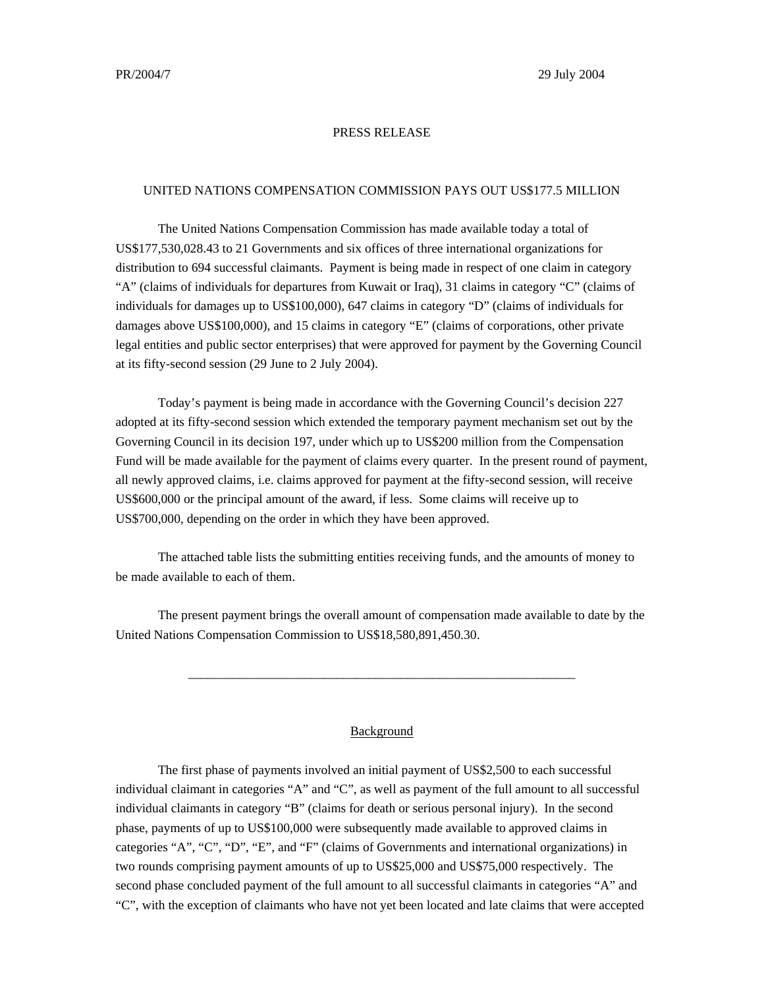## PRESS RELEASE

## UNITED NATIONS COMPENSATION COMMISSION PAYS OUT US\$177.5 MILLION

The United Nations Compensation Commission has made available today a total of US\$177,530,028.43 to 21 Governments and six offices of three international organizations for distribution to 694 successful claimants. Payment is being made in respect of one claim in category "A" (claims of individuals for departures from Kuwait or Iraq), 31 claims in category "C" (claims of individuals for damages up to US\$100,000), 647 claims in category "D" (claims of individuals for damages above US\$100,000), and 15 claims in category "E" (claims of corporations, other private legal entities and public sector enterprises) that were approved for payment by the Governing Council at its fifty-second session (29 June to 2 July 2004).

Today's payment is being made in accordance with the Governing Council's decision 227 adopted at its fifty-second session which extended the temporary payment mechanism set out by the Governing Council in its decision 197, under which up to US\$200 million from the Compensation Fund will be made available for the payment of claims every quarter. In the present round of payment, all newly approved claims, i.e. claims approved for payment at the fifty-second session, will receive US\$600,000 or the principal amount of the award, if less. Some claims will receive up to US\$700,000, depending on the order in which they have been approved.

The attached table lists the submitting entities receiving funds, and the amounts of money to be made available to each of them.

The present payment brings the overall amount of compensation made available to date by the United Nations Compensation Commission to US\$18,580,891,450.30.

\_\_\_\_\_\_\_\_\_\_\_\_\_\_\_\_\_\_\_\_\_\_\_\_\_\_\_\_\_\_\_\_\_\_\_\_\_\_\_\_\_\_\_\_\_\_\_\_\_\_\_\_\_\_\_\_\_\_\_\_

## Background

The first phase of payments involved an initial payment of US\$2,500 to each successful individual claimant in categories "A" and "C", as well as payment of the full amount to all successful individual claimants in category "B" (claims for death or serious personal injury). In the second phase, payments of up to US\$100,000 were subsequently made available to approved claims in categories "A", "C", "D", "E", and "F" (claims of Governments and international organizations) in two rounds comprising payment amounts of up to US\$25,000 and US\$75,000 respectively. The second phase concluded payment of the full amount to all successful claimants in categories "A" and "C", with the exception of claimants who have not yet been located and late claims that were accepted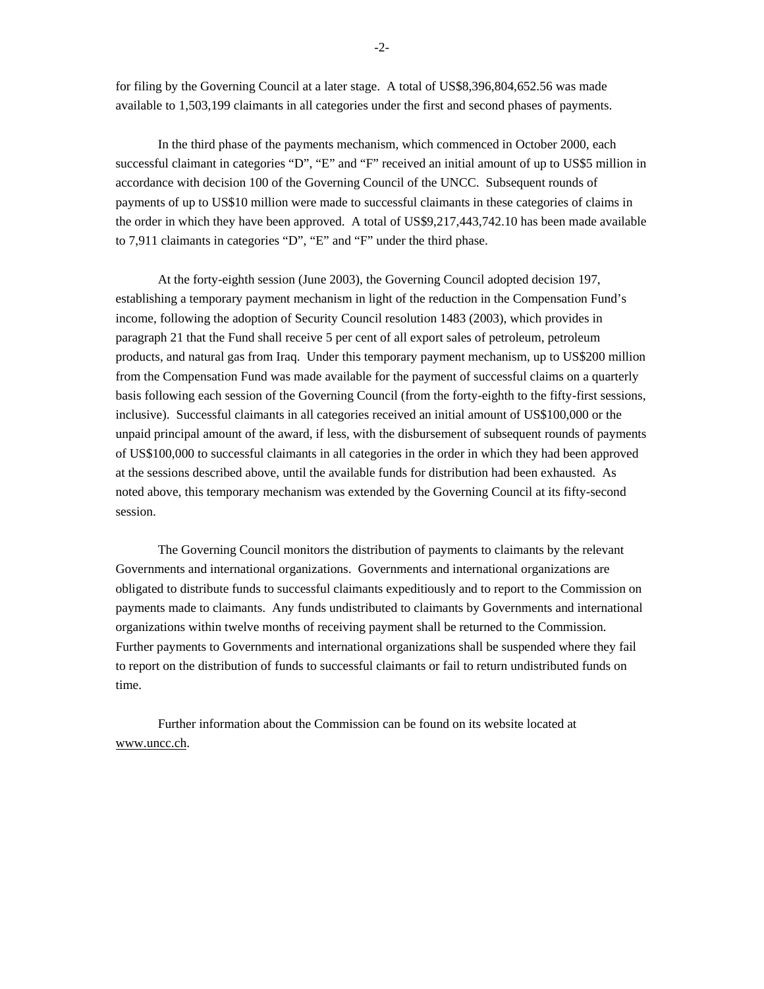for filing by the Governing Council at a later stage. A total of US\$8,396,804,652.56 was made available to 1,503,199 claimants in all categories under the first and second phases of payments.

In the third phase of the payments mechanism, which commenced in October 2000, each successful claimant in categories "D", "E" and "F" received an initial amount of up to US\$5 million in accordance with decision 100 of the Governing Council of the UNCC. Subsequent rounds of payments of up to US\$10 million were made to successful claimants in these categories of claims in the order in which they have been approved. A total of US\$9,217,443,742.10 has been made available to 7,911 claimants in categories "D", "E" and "F" under the third phase.

At the forty-eighth session (June 2003), the Governing Council adopted decision 197, establishing a temporary payment mechanism in light of the reduction in the Compensation Fund's income, following the adoption of Security Council resolution 1483 (2003), which provides in paragraph 21 that the Fund shall receive 5 per cent of all export sales of petroleum, petroleum products, and natural gas from Iraq. Under this temporary payment mechanism, up to US\$200 million from the Compensation Fund was made available for the payment of successful claims on a quarterly basis following each session of the Governing Council (from the forty-eighth to the fifty-first sessions, inclusive). Successful claimants in all categories received an initial amount of US\$100,000 or the unpaid principal amount of the award, if less, with the disbursement of subsequent rounds of payments of US\$100,000 to successful claimants in all categories in the order in which they had been approved at the sessions described above, until the available funds for distribution had been exhausted. As noted above, this temporary mechanism was extended by the Governing Council at its fifty-second session.

The Governing Council monitors the distribution of payments to claimants by the relevant Governments and international organizations. Governments and international organizations are obligated to distribute funds to successful claimants expeditiously and to report to the Commission on payments made to claimants. Any funds undistributed to claimants by Governments and international organizations within twelve months of receiving payment shall be returned to the Commission. Further payments to Governments and international organizations shall be suspended where they fail to report on the distribution of funds to successful claimants or fail to return undistributed funds on time.

Further information about the Commission can be found on its website located at www.uncc.ch.